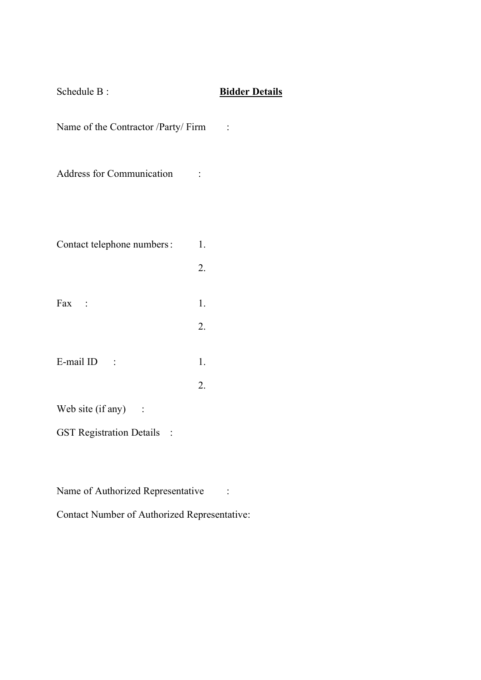| Schedule B:                         |          | <b>Bidder Details</b> |
|-------------------------------------|----------|-----------------------|
| Name of the Contractor /Party/ Firm |          | $\sim$ 1              |
| <b>Address for Communication</b>    |          |                       |
| Contact telephone numbers:          | 1.<br>2. |                       |
| Fax :                               | 1.<br>2. |                       |
| E-mail ID $\therefore$              | 1.<br>2. |                       |
| Web site $(if any)$ :               |          |                       |
| <b>GST Registration Details :</b>   |          |                       |

Name of Authorized Representative :

Contact Number of Authorized Representative: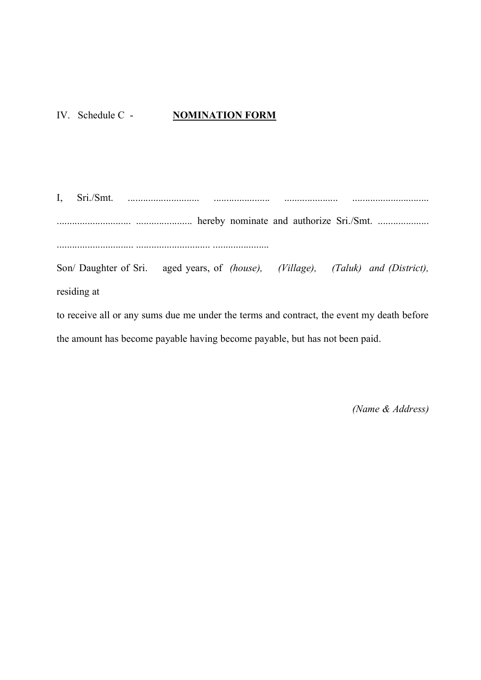## IV. Schedule C - **NOMINATION FORM**

I, Sri./Smt. ............................ ...................... ..................... .............................. ............................. ...................... hereby nominate and authorize Sri./Smt. .................... .............................. ............................. ...................... Son/ Daughter of Sri. aged years, of *(house), (Village), (Taluk) and (District),*  residing at

to receive all or any sums due me under the terms and contract, the event my death before the amount has become payable having become payable, but has not been paid.

*(Name & Address)*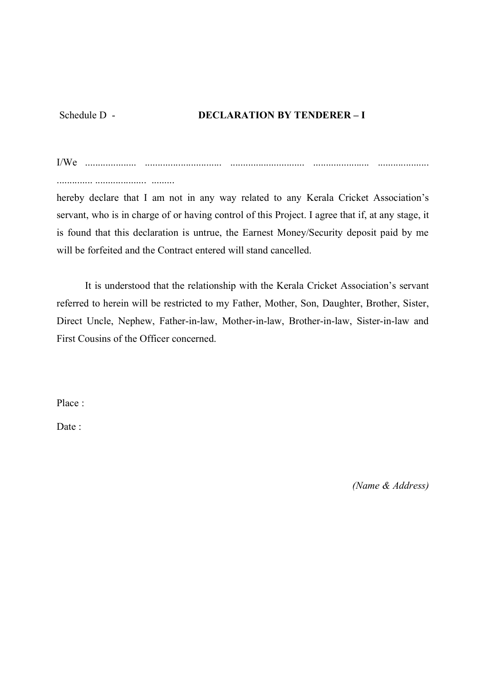## Schedule D - **DECLARATION BY TENDERER – I**

I/We .................... .............................. ............................. ...................... ....................

.............. .................... .........

hereby declare that I am not in any way related to any Kerala Cricket Association's servant, who is in charge of or having control of this Project. I agree that if, at any stage, it is found that this declaration is untrue, the Earnest Money/Security deposit paid by me will be forfeited and the Contract entered will stand cancelled.

It is understood that the relationship with the Kerala Cricket Association's servant referred to herein will be restricted to my Father, Mother, Son, Daughter, Brother, Sister, Direct Uncle, Nephew, Father-in-law, Mother-in-law, Brother-in-law, Sister-in-law and First Cousins of the Officer concerned.

Place ·

Date :

*(Name & Address)*